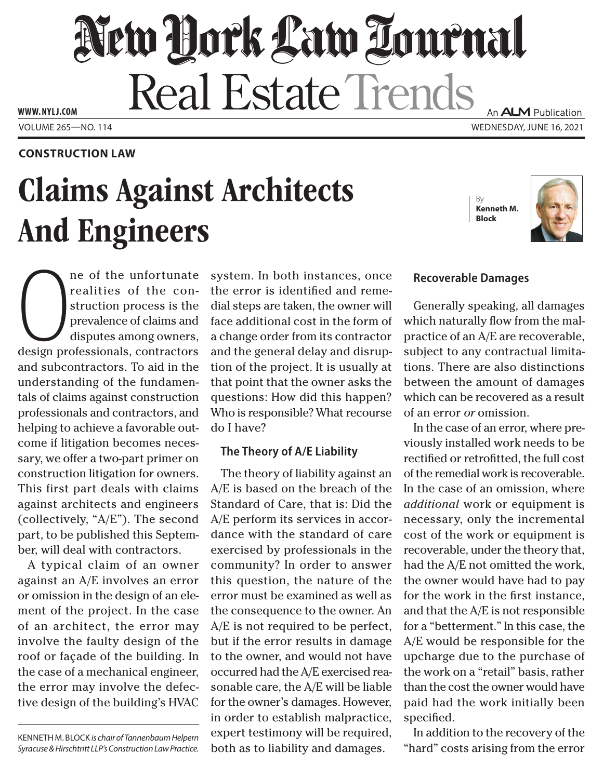# New Dock Law Louenal Real Estate Trends An **ALM** Publication

Volume 265—NO. 114 Wednesday, June 16, 2021 **www. NYLJ.com**

### **Construction Law**

# Claims Against Architects And Engineers

By **Kenneth M. Block**



ne of the unfortunate<br>realities of the con-<br>struction process is the<br>prevalence of claims and<br>disputes among owners,<br>design professionals, contractors ne of the unfortunate realities of the construction process is the prevalence of claims and disputes among owners, and subcontractors. To aid in the understanding of the fundamentals of claims against construction professionals and contractors, and helping to achieve a favorable outcome if litigation becomes necessary, we offer a two-part primer on construction litigation for owners. This first part deals with claims against architects and engineers (collectively, "A/E"). The second part, to be published this September, will deal with contractors.

A typical claim of an owner against an A/E involves an error or omission in the design of an element of the project. In the case of an architect, the error may involve the faulty design of the roof or façade of the building. In the case of a mechanical engineer, the error may involve the defective design of the building's HVAC

KENNETH M. BLOCK *is chair of Tannenbaum Helpern Syracuse & Hirschtritt LLP's Construction Law Practice.* system. In both instances, once the error is identified and remedial steps are taken, the owner will face additional cost in the form of a change order from its contractor and the general delay and disruption of the project. It is usually at that point that the owner asks the questions: How did this happen? Who is responsible? What recourse do I have?

#### **The Theory of A/E Liability**

The theory of liability against an A/E is based on the breach of the Standard of Care, that is: Did the A/E perform its services in accordance with the standard of care exercised by professionals in the community? In order to answer this question, the nature of the error must be examined as well as the consequence to the owner. An A/E is not required to be perfect, but if the error results in damage to the owner, and would not have occurred had the A/E exercised reasonable care, the A/E will be liable for the owner's damages. However, in order to establish malpractice, expert testimony will be required, both as to liability and damages.

## **Recoverable Damages**

Generally speaking, all damages which naturally flow from the malpractice of an A/E are recoverable, subject to any contractual limitations. There are also distinctions between the amount of damages which can be recovered as a result of an error *or* omission.

In the case of an error, where previously installed work needs to be rectified or retrofitted, the full cost of the remedial work is recoverable. In the case of an omission, where *additional* work or equipment is necessary, only the incremental cost of the work or equipment is recoverable, under the theory that, had the A/E not omitted the work, the owner would have had to pay for the work in the first instance, and that the A/E is not responsible for a "betterment." In this case, the A/E would be responsible for the upcharge due to the purchase of the work on a "retail" basis, rather than the cost the owner would have paid had the work initially been specified.

In addition to the recovery of the "hard" costs arising from the error